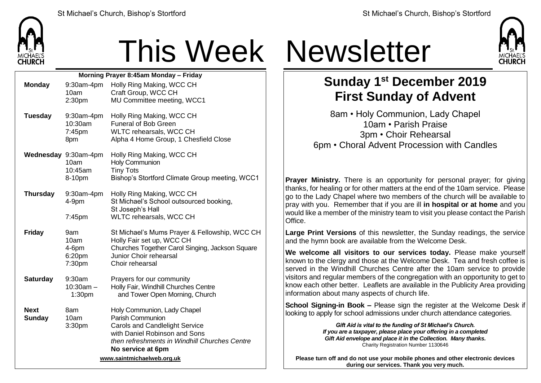

## This Week Newsletter

| Morning Prayer 8:45am Monday - Friday |                                                   |                                                                                                                                                                                                 |  |  |  |
|---------------------------------------|---------------------------------------------------|-------------------------------------------------------------------------------------------------------------------------------------------------------------------------------------------------|--|--|--|
| <b>Monday</b>                         | 9:30am-4pm<br>10am                                | Holly Ring Making, WCC CH<br>Craft Group, WCC CH                                                                                                                                                |  |  |  |
|                                       | 2:30 <sub>pm</sub>                                | MU Committee meeting, WCC1                                                                                                                                                                      |  |  |  |
| <b>Tuesday</b>                        | 9:30am-4pm<br>10:30am<br>7:45pm<br>8pm            | Holly Ring Making, WCC CH<br><b>Funeral of Bob Green</b><br>WLTC rehearsals, WCC CH<br>Alpha 4 Home Group, 1 Chesfield Close                                                                    |  |  |  |
|                                       | Wednesday 9:30am-4pm<br>10am<br>10:45am<br>8-10pm | Holly Ring Making, WCC CH<br>Holy Communion<br><b>Tiny Tots</b><br>Bishop's Stortford Climate Group meeting, WCC1                                                                               |  |  |  |
| <b>Thursday</b>                       | $9:30$ am-4pm<br>$4-9pm$                          | Holly Ring Making, WCC CH<br>St Michael's School outsourced booking,<br>St Joseph's Hall                                                                                                        |  |  |  |
|                                       | 7:45pm                                            | WLTC rehearsals, WCC CH                                                                                                                                                                         |  |  |  |
| <b>Friday</b>                         | 9am<br>10am<br>4-6pm<br>6:20pm<br>7:30pm          | St Michael's Mums Prayer & Fellowship, WCC CH<br>Holly Fair set up, WCC CH<br>Churches Together Carol Singing, Jackson Square<br>Junior Choir rehearsal<br>Choir rehearsal                      |  |  |  |
| <b>Saturday</b>                       | 9:30am<br>$10:30am -$<br>1:30 <sub>pm</sub>       | Prayers for our community<br>Holly Fair, Windhill Churches Centre<br>and Tower Open Morning, Church                                                                                             |  |  |  |
| <b>Next</b><br><b>Sunday</b>          | 8am<br>10am<br>3:30pm                             | Holy Communion, Lady Chapel<br>Parish Communion<br><b>Carols and Candlelight Service</b><br>with Daniel Robinson and Sons<br>then refreshments in Windhill Churches Centre<br>No service at 6pm |  |  |  |
| www.saintmichaelweb.org.uk            |                                                   |                                                                                                                                                                                                 |  |  |  |



## **Sunday 1 st December 2019 First Sunday of Advent**

8am • Holy Communion, Lady Chapel 10am • Parish Praise 3pm • Choir Rehearsal 6pm • Choral Advent Procession with Candles

**Prayer Ministry.** There is an opportunity for personal prayer; for giving thanks, for healing or for other matters at the end of the 10am service. Please go to the Lady Chapel where two members of the church will be available to pray with you. Remember that if you are ill **in hospital or at home** and you would like a member of the ministry team to visit you please contact the Parish **Office** 

**Large Print Versions** of this newsletter, the Sunday readings, the service and the hymn book are available from the Welcome Desk.

**We welcome all visitors to our services today.** Please make yourself known to the clergy and those at the Welcome Desk. Tea and fresh coffee is served in the Windhill Churches Centre after the 10am service to provide visitors and regular members of the congregation with an opportunity to get to know each other better. Leaflets are available in the Publicity Area providing information about many aspects of church life.

**School Signing-in Book –** Please sign the register at the Welcome Desk if looking to apply for school admissions under church attendance categories.

> *Gift Aid is vital to the funding of St Michael's Church. If you are a taxpayer, please place your offering in a completed Gift Aid envelope and place it in the Collection. Many thanks.* Charity Registration Number 1130646

**Please turn off and do not use your mobile phones and other electronic devices during our services. Thank you very much.**